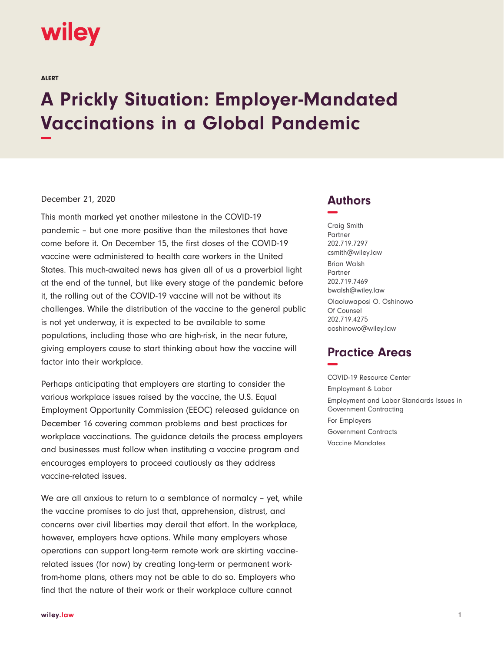

ALERT

# **A Prickly Situation: Employer-Mandated Vaccinations in a Global Pandemic −**

#### December 21, 2020

This month marked yet another milestone in the COVID-19 pandemic – but one more positive than the milestones that have come before it. On December 15, the first doses of the COVID-19 vaccine were administered to health care workers in the United States. This much-awaited news has given all of us a proverbial light at the end of the tunnel, but like every stage of the pandemic before it, the rolling out of the COVID-19 vaccine will not be without its challenges. While the distribution of the vaccine to the general public is not yet underway, it is expected to be available to some populations, including those who are high-risk, in the near future, giving employers cause to start thinking about how the vaccine will factor into their workplace.

Perhaps anticipating that employers are starting to consider the various workplace issues raised by the vaccine, the U.S. Equal Employment Opportunity Commission (EEOC) released guidance on December 16 covering common problems and best practices for workplace vaccinations. The guidance details the process employers and businesses must follow when instituting a vaccine program and encourages employers to proceed cautiously as they address vaccine-related issues.

We are all anxious to return to a semblance of normalcy – yet, while the vaccine promises to do just that, apprehension, distrust, and concerns over civil liberties may derail that effort. In the workplace, however, employers have options. While many employers whose operations can support long-term remote work are skirting vaccinerelated issues (for now) by creating long-term or permanent workfrom-home plans, others may not be able to do so. Employers who find that the nature of their work or their workplace culture cannot

## **Authors −**

Craig Smith Partner 202.719.7297 csmith@wiley.law Brian Walsh Partner 202.719.7469 bwalsh@wiley.law Olaoluwaposi O. Oshinowo Of Counsel 202.719.4275 ooshinowo@wiley.law

# **Practice Areas −**

COVID-19 Resource Center Employment & Labor Employment and Labor Standards Issues in Government Contracting For Employers Government Contracts Vaccine Mandates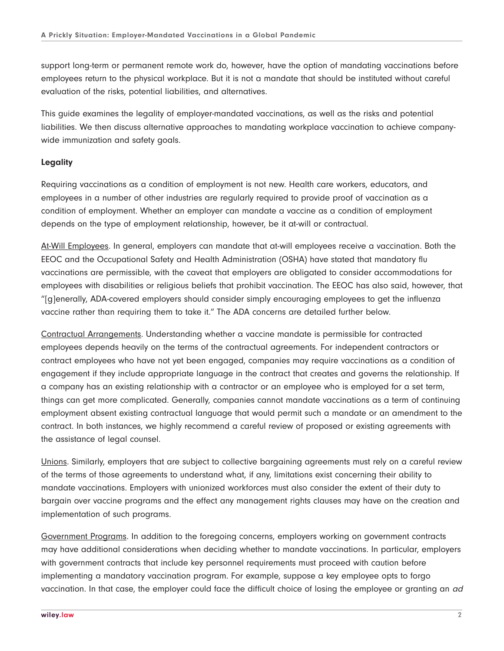support long-term or permanent remote work do, however, have the option of mandating vaccinations before employees return to the physical workplace. But it is not a mandate that should be instituted without careful evaluation of the risks, potential liabilities, and alternatives.

This guide examines the legality of employer-mandated vaccinations, as well as the risks and potential liabilities. We then discuss alternative approaches to mandating workplace vaccination to achieve companywide immunization and safety goals.

#### **Legality**

Requiring vaccinations as a condition of employment is not new. Health care workers, educators, and employees in a number of other industries are regularly required to provide proof of vaccination as a condition of employment. Whether an employer can mandate a vaccine as a condition of employment depends on the type of employment relationship, however, be it at-will or contractual.

At-Will Employees. In general, employers can mandate that at-will employees receive a vaccination. Both the EEOC and the Occupational Safety and Health Administration (OSHA) have stated that mandatory flu vaccinations are permissible, with the caveat that employers are obligated to consider accommodations for employees with disabilities or religious beliefs that prohibit vaccination. The EEOC has also said, however, that "[g]enerally, ADA-covered employers should consider simply encouraging employees to get the influenza vaccine rather than requiring them to take it." The ADA concerns are detailed further below.

Contractual Arrangements. Understanding whether a vaccine mandate is permissible for contracted employees depends heavily on the terms of the contractual agreements. For independent contractors or contract employees who have not yet been engaged, companies may require vaccinations as a condition of engagement if they include appropriate language in the contract that creates and governs the relationship. If a company has an existing relationship with a contractor or an employee who is employed for a set term, things can get more complicated. Generally, companies cannot mandate vaccinations as a term of continuing employment absent existing contractual language that would permit such a mandate or an amendment to the contract. In both instances, we highly recommend a careful review of proposed or existing agreements with the assistance of legal counsel.

Unions. Similarly, employers that are subject to collective bargaining agreements must rely on a careful review of the terms of those agreements to understand what, if any, limitations exist concerning their ability to mandate vaccinations. Employers with unionized workforces must also consider the extent of their duty to bargain over vaccine programs and the effect any management rights clauses may have on the creation and implementation of such programs.

Government Programs. In addition to the foregoing concerns, employers working on government contracts may have additional considerations when deciding whether to mandate vaccinations. In particular, employers with government contracts that include key personnel requirements must proceed with caution before implementing a mandatory vaccination program. For example, suppose a key employee opts to forgo vaccination. In that case, the employer could face the difficult choice of losing the employee or granting an ad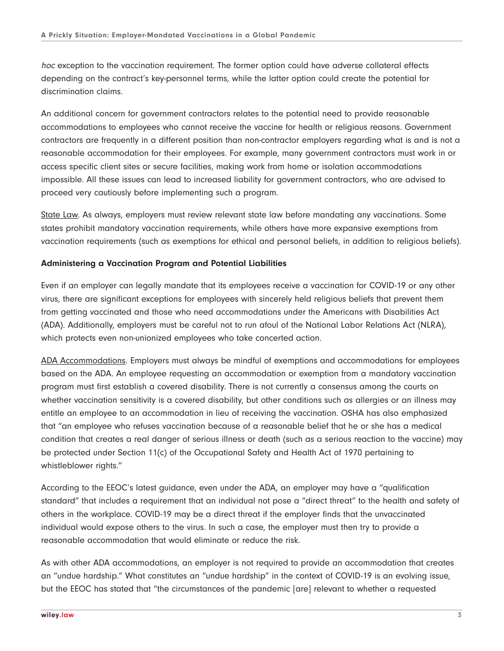hoc exception to the vaccination requirement. The former option could have adverse collateral effects depending on the contract's key-personnel terms, while the latter option could create the potential for discrimination claims.

An additional concern for government contractors relates to the potential need to provide reasonable accommodations to employees who cannot receive the vaccine for health or religious reasons. Government contractors are frequently in a different position than non-contractor employers regarding what is and is not a reasonable accommodation for their employees. For example, many government contractors must work in or access specific client sites or secure facilities, making work from home or isolation accommodations impossible. All these issues can lead to increased liability for government contractors, who are advised to proceed very cautiously before implementing such a program.

State Law. As always, employers must review relevant state law before mandating any vaccinations. Some states prohibit mandatory vaccination requirements, while others have more expansive exemptions from vaccination requirements (such as exemptions for ethical and personal beliefs, in addition to religious beliefs).

#### **Administering a Vaccination Program and Potential Liabilities**

Even if an employer can legally mandate that its employees receive a vaccination for COVID-19 or any other virus, there are significant exceptions for employees with sincerely held religious beliefs that prevent them from getting vaccinated and those who need accommodations under the Americans with Disabilities Act (ADA). Additionally, employers must be careful not to run afoul of the National Labor Relations Act (NLRA), which protects even non-unionized employees who take concerted action.

ADA Accommodations. Employers must always be mindful of exemptions and accommodations for employees based on the ADA. An employee requesting an accommodation or exemption from a mandatory vaccination program must first establish a covered disability. There is not currently a consensus among the courts on whether vaccination sensitivity is a covered disability, but other conditions such as allergies or an illness may entitle an employee to an accommodation in lieu of receiving the vaccination. OSHA has also emphasized that "an employee who refuses vaccination because of a reasonable belief that he or she has a medical condition that creates a real danger of serious illness or death (such as a serious reaction to the vaccine) may be protected under Section 11(c) of the Occupational Safety and Health Act of 1970 pertaining to whistleblower rights."

According to the EEOC's latest guidance, even under the ADA, an employer may have a "qualification standard" that includes a requirement that an individual not pose a "direct threat" to the health and safety of others in the workplace. COVID-19 may be a direct threat if the employer finds that the unvaccinated individual would expose others to the virus. In such a case, the employer must then try to provide a reasonable accommodation that would eliminate or reduce the risk.

As with other ADA accommodations, an employer is not required to provide an accommodation that creates an "undue hardship." What constitutes an "undue hardship" in the context of COVID-19 is an evolving issue, but the EEOC has stated that "the circumstances of the pandemic [are] relevant to whether a requested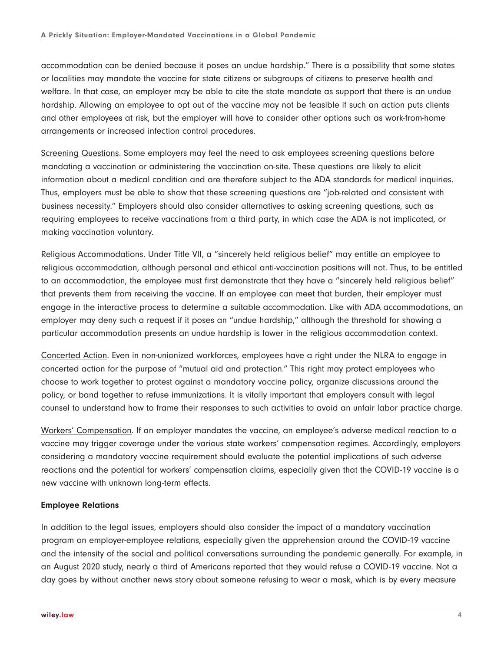accommodation can be denied because it poses an undue hardship." There is a possibility that some states or localities may mandate the vaccine for state citizens or subgroups of citizens to preserve health and welfare. In that case, an employer may be able to cite the state mandate as support that there is an undue hardship. Allowing an employee to opt out of the vaccine may not be feasible if such an action puts clients and other employees at risk, but the employer will have to consider other options such as work-from-home arrangements or increased infection control procedures.

Screening Questions. Some employers may feel the need to ask employees screening questions before mandating a vaccination or administering the vaccination on-site. These questions are likely to elicit information about a medical condition and are therefore subject to the ADA standards for medical inquiries. Thus, employers must be able to show that these screening questions are "job-related and consistent with business necessity." Employers should also consider alternatives to asking screening questions, such as requiring employees to receive vaccinations from a third party, in which case the ADA is not implicated, or making vaccination voluntary.

Religious Accommodations. Under Title VII, a "sincerely held religious belief" may entitle an employee to religious accommodation, although personal and ethical anti-vaccination positions will not. Thus, to be entitled to an accommodation, the employee must first demonstrate that they have a "sincerely held religious belief" that prevents them from receiving the vaccine. If an employee can meet that burden, their employer must engage in the interactive process to determine a suitable accommodation. Like with ADA accommodations, an employer may deny such a request if it poses an "undue hardship," although the threshold for showing a particular accommodation presents an undue hardship is lower in the religious accommodation context.

Concerted Action. Even in non-unionized workforces, employees have a right under the NLRA to engage in concerted action for the purpose of "mutual aid and protection." This right may protect employees who choose to work together to protest against a mandatory vaccine policy, organize discussions around the policy, or band together to refuse immunizations. It is vitally important that employers consult with legal counsel to understand how to frame their responses to such activities to avoid an unfair labor practice charge.

Workers' Compensation. If an employer mandates the vaccine, an employee's adverse medical reaction to a vaccine may trigger coverage under the various state workers' compensation regimes. Accordingly, employers considering a mandatory vaccine requirement should evaluate the potential implications of such adverse reactions and the potential for workers' compensation claims, especially given that the COVID-19 vaccine is a new vaccine with unknown long-term effects.

#### **Employee Relations**

In addition to the legal issues, employers should also consider the impact of a mandatory vaccination program on employer-employee relations, especially given the apprehension around the COVID-19 vaccine and the intensity of the social and political conversations surrounding the pandemic generally. For example, in an August 2020 study, nearly a third of Americans reported that they would refuse a COVID-19 vaccine. Not a day goes by without another news story about someone refusing to wear a mask, which is by every measure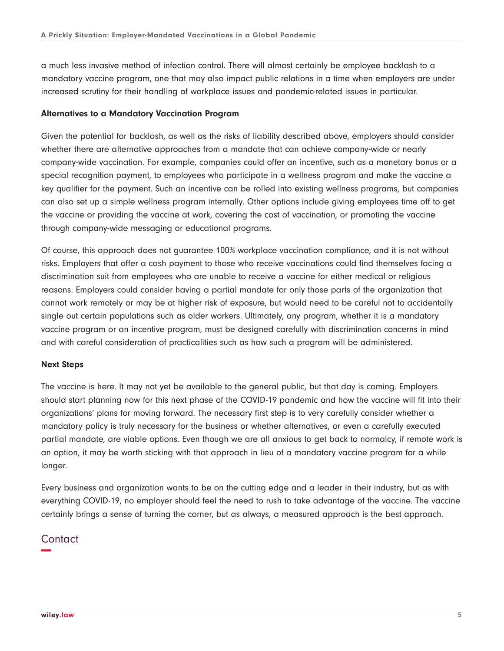a much less invasive method of infection control. There will almost certainly be employee backlash to a mandatory vaccine program, one that may also impact public relations in a time when employers are under increased scrutiny for their handling of workplace issues and pandemic-related issues in particular.

#### **Alternatives to a Mandatory Vaccination Program**

Given the potential for backlash, as well as the risks of liability described above, employers should consider whether there are alternative approaches from a mandate that can achieve company-wide or nearly company-wide vaccination. For example, companies could offer an incentive, such as a monetary bonus or a special recognition payment, to employees who participate in a wellness program and make the vaccine a key qualifier for the payment. Such an incentive can be rolled into existing wellness programs, but companies can also set up a simple wellness program internally. Other options include giving employees time off to get the vaccine or providing the vaccine at work, covering the cost of vaccination, or promoting the vaccine through company-wide messaging or educational programs.

Of course, this approach does not guarantee 100% workplace vaccination compliance, and it is not without risks. Employers that offer a cash payment to those who receive vaccinations could find themselves facing a discrimination suit from employees who are unable to receive a vaccine for either medical or religious reasons. Employers could consider having a partial mandate for only those parts of the organization that cannot work remotely or may be at higher risk of exposure, but would need to be careful not to accidentally single out certain populations such as older workers. Ultimately, any program, whether it is a mandatory vaccine program or an incentive program, must be designed carefully with discrimination concerns in mind and with careful consideration of practicalities such as how such a program will be administered.

#### **Next Steps**

The vaccine is here. It may not yet be available to the general public, but that day is coming. Employers should start planning now for this next phase of the COVID-19 pandemic and how the vaccine will fit into their organizations' plans for moving forward. The necessary first step is to very carefully consider whether a mandatory policy is truly necessary for the business or whether alternatives, or even a carefully executed partial mandate, are viable options. Even though we are all anxious to get back to normalcy, if remote work is an option, it may be worth sticking with that approach in lieu of a mandatory vaccine program for a while longer.

Every business and organization wants to be on the cutting edge and a leader in their industry, but as with everything COVID-19, no employer should feel the need to rush to take advantage of the vaccine. The vaccine certainly brings a sense of turning the corner, but as always, a measured approach is the best approach.

### **Contact −**